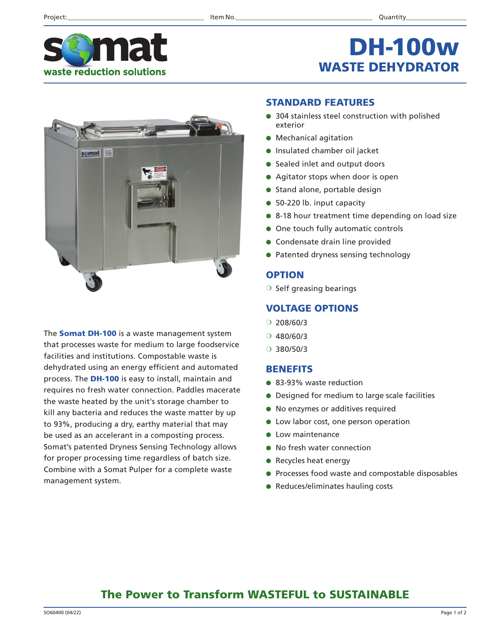

## DH-100w WASTE DEHYDRATOR



The **Somat DH-100** is a waste management system that processes waste for medium to large foodservice facilities and institutions. Compostable waste is dehydrated using an energy efficient and automated process. The DH-100 is easy to install, maintain and requires no fresh water connection. Paddles macerate the waste heated by the unit's storage chamber to kill any bacteria and reduces the waste matter by up to 93%, producing a dry, earthy material that may be used as an accelerant in a composting process. Somat's patented Dryness Sensing Technology allows for proper processing time regardless of batch size. Combine with a Somat Pulper for a complete waste management system.

#### STANDARD FEATURES

- 304 stainless steel construction with polished exterior
- Mechanical agitation
- Insulated chamber oil jacket
- Sealed inlet and output doors
- Agitator stops when door is open
- Stand alone, portable design
- 50-220 lb. input capacity
- 8-18 hour treatment time depending on load size
- One touch fully automatic controls
- Condensate drain line provided
- Patented dryness sensing technology

#### **OPTION**

❍ Self greasing bearings

#### VOLTAGE OPTIONS

- $O$  208/60/3
- ❍ 480/60/3
- ❍ 380/50/3

#### BENEFITS

- 83-93% waste reduction
- Designed for medium to large scale facilities
- No enzymes or additives required
- Low labor cost, one person operation
- Low maintenance
- No fresh water connection
- Recycles heat energy
- Processes food waste and compostable disposables
- Reduces/eliminates hauling costs

### The Power to Transform WASTEFUL to SUSTAINABLE